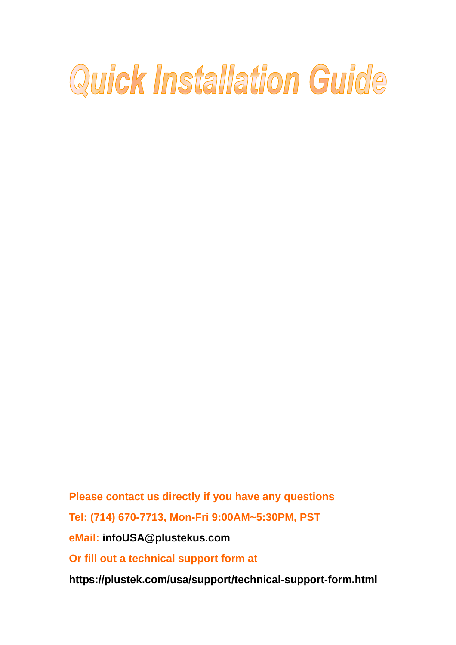# Quick Installation Guide

**Please contact us directly if you have any questions Tel: (714) 670-7713, Mon-Fri 9:00AM~5:30PM, PST eMail: infoUSA@plustekus.com Or fill out a technical support form at** 

**https://plustek.com/usa/support/technical-support-form.html**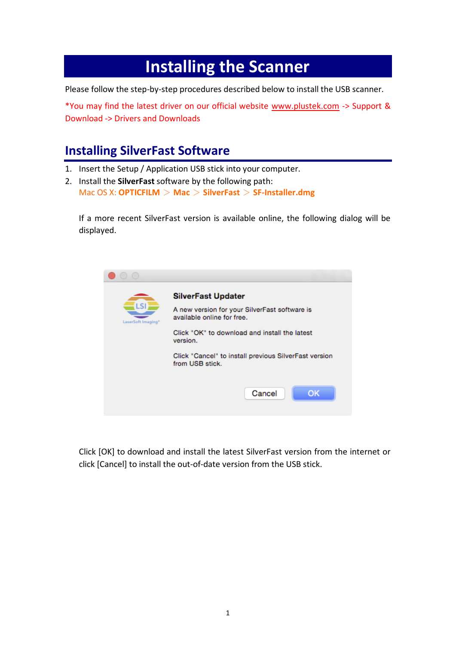## **Installing the Scanner**

Please follow the step-by-step procedures described below to install the USB scanner.

\*You may find the latest driver on our official website [www.plustek.com](http://www.plustek.com/) -> Support & Download -> Drivers and Downloads

## **Installing SilverFast Software**

- 1. Insert the Setup / Application USB stick into your computer.
- 2. Install the **SilverFast** software by the following path: Mac OS X: **OPTICFILM** > **Mac** > **SilverFast** > **SF-Installer.dmg**

If a more recent SilverFast version is available online, the following dialog will be displayed.



Click [OK] to download and install the latest SilverFast version from the internet or click [Cancel] to install the out-of-date version from the USB stick.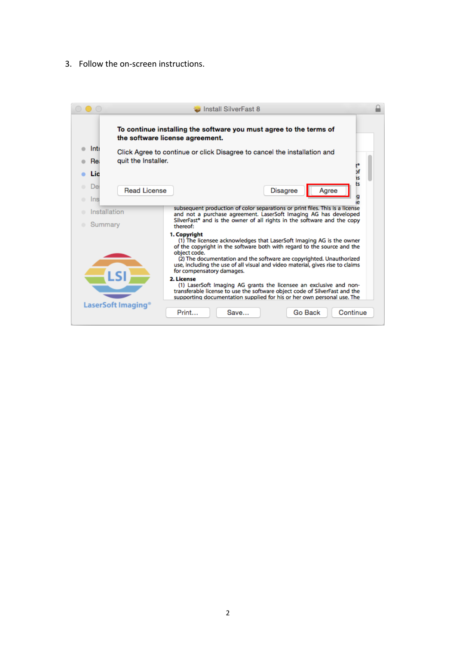3. Follow the on-screen instructions.

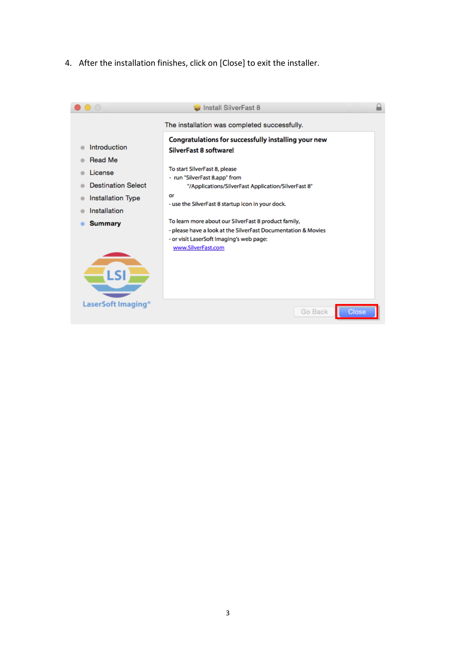4. After the installation finishes, click on [Close] to exit the installer.

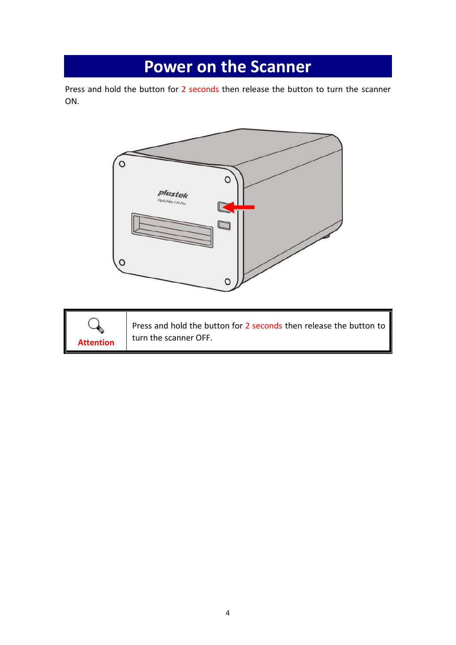## **Power on the Scanner**

Press and hold the button for 2 seconds then release the button to turn the scanner ON.





Press and hold the button for 2 seconds then release the button to turn the scanner OFF.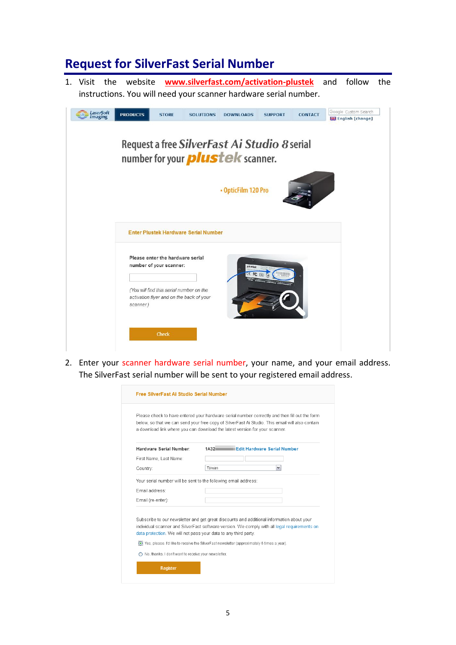#### **Request for SilverFast Serial Number**

1. Visit the website **www.silverfast.com/activation-plustek** and follow the instructions. You will need your scanner hardware serial number.



2. Enter your scanner hardware serial number, your name, and your email address. The SilverFast serial number will be sent to your registered email address.

|                                                                 | Please check to have entered your hardware serial number correctly and then fill out the form<br>below, so that we can send your free copy of SilverFast Ai Studio. This email will also contain<br>a download link where you can download the latest version for your scanner.           |
|-----------------------------------------------------------------|-------------------------------------------------------------------------------------------------------------------------------------------------------------------------------------------------------------------------------------------------------------------------------------------|
| Hardware Serial Number                                          | <b>Edit Hardware Serial Number</b><br>1A32                                                                                                                                                                                                                                                |
| First Name, Last Name:                                          |                                                                                                                                                                                                                                                                                           |
| Country:                                                        | ٧<br>Taiwan                                                                                                                                                                                                                                                                               |
| Your serial number will be sent to the following email address: |                                                                                                                                                                                                                                                                                           |
| Fmail address:                                                  |                                                                                                                                                                                                                                                                                           |
| Email (re-enter):                                               |                                                                                                                                                                                                                                                                                           |
| data protection. We will not pass your data to any third party. | Subscribe to our newsletter and get great discounts and additional information about your<br>individual scanner and SilverFast software version. We comply with all legal requirements on<br>. Yes, please. I'd like to receive the SilverFast newsletter (approximately 6 times a year). |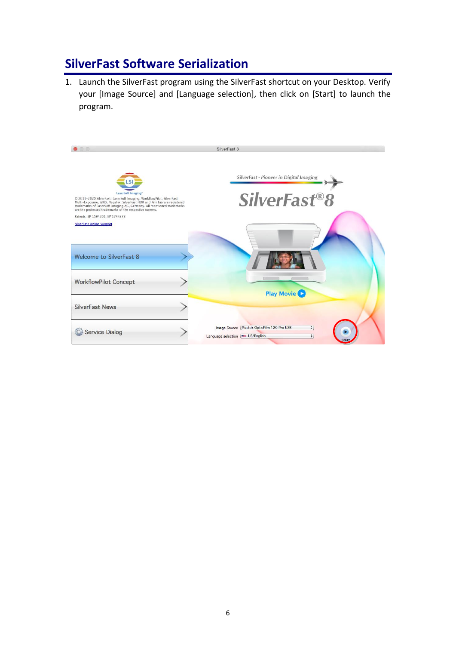### **SilverFast Software Serialization**

1. Launch the SilverFast program using the SilverFast shortcut on your Desktop. Verify your [Image Source] and [Language selection], then click on [Start] to launch the program.